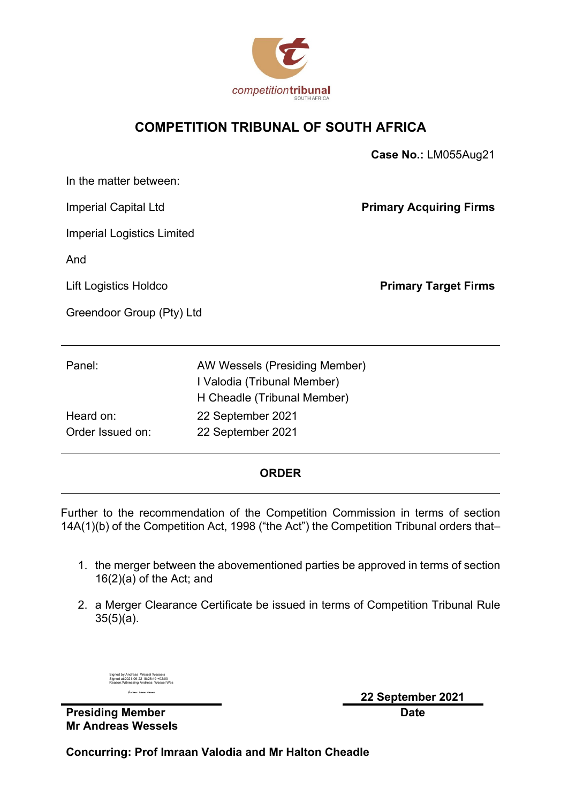

### **COMPETITION TRIBUNAL OF SOUTH AFRICA**

|                                   |                                                                                             | Case No.: LM055Aug21           |
|-----------------------------------|---------------------------------------------------------------------------------------------|--------------------------------|
| In the matter between:            |                                                                                             |                                |
| <b>Imperial Capital Ltd</b>       |                                                                                             | <b>Primary Acquiring Firms</b> |
| <b>Imperial Logistics Limited</b> |                                                                                             |                                |
| And                               |                                                                                             |                                |
| Lift Logistics Holdco             |                                                                                             | <b>Primary Target Firms</b>    |
| Greendoor Group (Pty) Ltd         |                                                                                             |                                |
|                                   |                                                                                             |                                |
| Panel:                            | AW Wessels (Presiding Member)<br>I Valodia (Tribunal Member)<br>H Cheadle (Tribunal Member) |                                |
| Heard on:                         | 22 September 2021                                                                           |                                |
| Order Issued on:                  | 22 September 2021                                                                           |                                |
|                                   |                                                                                             |                                |

#### **ORDER**

Further to the recommendation of the Competition Commission in terms of section 14A(1)(b) of the Competition Act, 1998 ("the Act") the Competition Tribunal orders that–

- 1. the merger between the abovementioned parties be approved in terms of section 16(2)(a) of the Act; and
- 2. a Merger Clearance Certificate be issued in terms of Competition Tribunal Rule 35(5)(a).

| Signed by:Andreas Wessel Wessels<br>Signed at:2021-09-22 18:28:49 +02:00<br>Reason: Witnessing Andreas Wessel Wes |
|-------------------------------------------------------------------------------------------------------------------|
| Autreas Wesser Wessers                                                                                            |

**Presiding Member Mr Andreas Wessels** **22 September 2021 Date**

**Concurring: Prof Imraan Valodia and Mr Halton Cheadle**